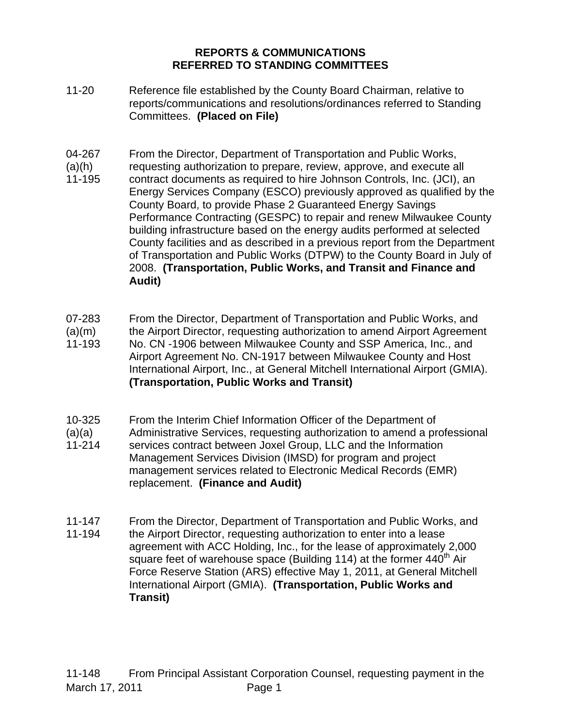## **REPORTS & COMMUNICATIONS REFERRED TO STANDING COMMITTEES**

- 11-20 Reference file established by the County Board Chairman, relative to reports/communications and resolutions/ordinances referred to Standing Committees. **(Placed on File)**
- 04-267  $(a)(h)$ 11-195 From the Director, Department of Transportation and Public Works, requesting authorization to prepare, review, approve, and execute all contract documents as required to hire Johnson Controls, Inc. (JCI), an Energy Services Company (ESCO) previously approved as qualified by the County Board, to provide Phase 2 Guaranteed Energy Savings Performance Contracting (GESPC) to repair and renew Milwaukee County building infrastructure based on the energy audits performed at selected County facilities and as described in a previous report from the Department of Transportation and Public Works (DTPW) to the County Board in July of 2008. **(Transportation, Public Works, and Transit and Finance and Audit)**
- 07-283 From the Director, Department of Transportation and Public Works, and
- $(a)(m)$ 11-193 the Airport Director, requesting authorization to amend Airport Agreement No. CN -1906 between Milwaukee County and SSP America, Inc., and
- Airport Agreement No. CN-1917 between Milwaukee County and Host International Airport, Inc., at General Mitchell International Airport (GMIA). **(Transportation, Public Works and Transit)**
- 10-325 From the Interim Chief Information Officer of the Department of
- $(a)(a)$ 11-214 Administrative Services, requesting authorization to amend a professional services contract between Joxel Group, LLC and the Information Management Services Division (IMSD) for program and project management services related to Electronic Medical Records (EMR) replacement. **(Finance and Audit)**
- 11-147 11-194 From the Director, Department of Transportation and Public Works, and the Airport Director, requesting authorization to enter into a lease agreement with ACC Holding, Inc., for the lease of approximately 2,000 square feet of warehouse space (Building 114) at the former  $440<sup>th</sup>$  Air Force Reserve Station (ARS) effective May 1, 2011, at General Mitchell International Airport (GMIA). **(Transportation, Public Works and Transit)**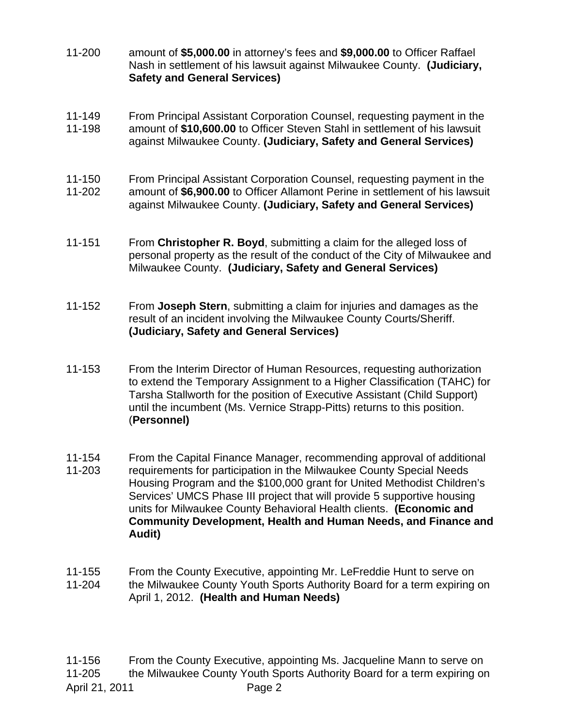- 11-200 amount of **\$5,000.00** in attorney's fees and **\$9,000.00** to Officer Raffael Nash in settlement of his lawsuit against Milwaukee County. **(Judiciary, Safety and General Services)**
- 11-149 11-198 From Principal Assistant Corporation Counsel, requesting payment in the amount of **\$10,600.00** to Officer Steven Stahl in settlement of his lawsuit against Milwaukee County. **(Judiciary, Safety and General Services)**
- 11-150 11-202 From Principal Assistant Corporation Counsel, requesting payment in the amount of **\$6,900.00** to Officer Allamont Perine in settlement of his lawsuit against Milwaukee County. **(Judiciary, Safety and General Services)**
- 11-151 From **Christopher R. Boyd**, submitting a claim for the alleged loss of personal property as the result of the conduct of the City of Milwaukee and Milwaukee County. **(Judiciary, Safety and General Services)**
- 11-152 From **Joseph Stern**, submitting a claim for injuries and damages as the result of an incident involving the Milwaukee County Courts/Sheriff. **(Judiciary, Safety and General Services)**
- 11-153 From the Interim Director of Human Resources, requesting authorization to extend the Temporary Assignment to a Higher Classification (TAHC) for Tarsha Stallworth for the position of Executive Assistant (Child Support) until the incumbent (Ms. Vernice Strapp-Pitts) returns to this position. (**Personnel)**
- 11-154 11-203 From the Capital Finance Manager, recommending approval of additional requirements for participation in the Milwaukee County Special Needs Housing Program and the \$100,000 grant for United Methodist Children's Services' UMCS Phase III project that will provide 5 supportive housing units for Milwaukee County Behavioral Health clients. **(Economic and Community Development, Health and Human Needs, and Finance and Audit)**
- 11-155 11-204 From the County Executive, appointing Mr. LeFreddie Hunt to serve on the Milwaukee County Youth Sports Authority Board for a term expiring on April 1, 2012. **(Health and Human Needs)**

April 21, 2011 **Page 2** 11-156 11-205 From the County Executive, appointing Ms. Jacqueline Mann to serve on the Milwaukee County Youth Sports Authority Board for a term expiring on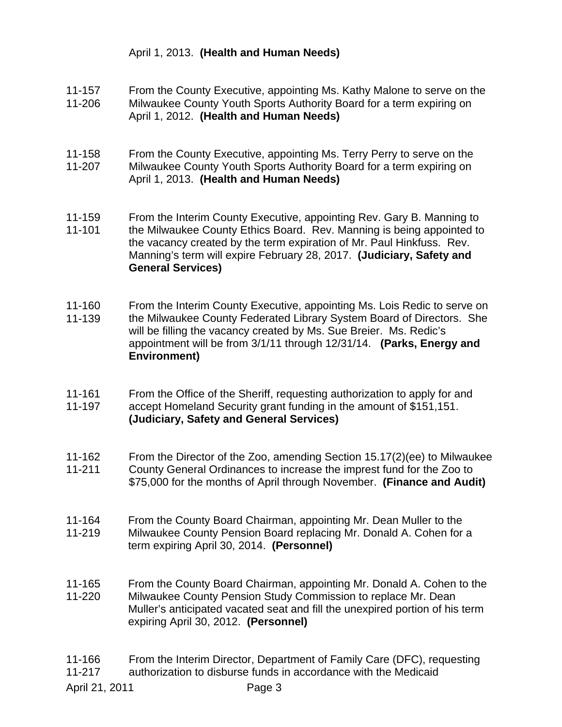## April 1, 2013. **(Health and Human Needs)**

- 11-157 11-206 From the County Executive, appointing Ms. Kathy Malone to serve on the Milwaukee County Youth Sports Authority Board for a term expiring on
	- April 1, 2012. **(Health and Human Needs)**
- 11-158 11-207 From the County Executive, appointing Ms. Terry Perry to serve on the Milwaukee County Youth Sports Authority Board for a term expiring on April 1, 2013. **(Health and Human Needs)**
- 11-159 11-101 From the Interim County Executive, appointing Rev. Gary B. Manning to the Milwaukee County Ethics Board. Rev. Manning is being appointed to the vacancy created by the term expiration of Mr. Paul Hinkfuss. Rev. Manning's term will expire February 28, 2017. **(Judiciary, Safety and General Services)**
- 11-160 11-139 From the Interim County Executive, appointing Ms. Lois Redic to serve on the Milwaukee County Federated Library System Board of Directors. She will be filling the vacancy created by Ms. Sue Breier. Ms. Redic's appointment will be from 3/1/11 through 12/31/14. **(Parks, Energy and Environment)**
- 11-161 11-197 From the Office of the Sheriff, requesting authorization to apply for and accept Homeland Security grant funding in the amount of \$151,151. **(Judiciary, Safety and General Services)**
- 11-162 From the Director of the Zoo, amending Section 15.17(2)(ee) to Milwaukee
- 11-211 County General Ordinances to increase the imprest fund for the Zoo to \$75,000 for the months of April through November. **(Finance and Audit)**
- 11-164 11-219 From the County Board Chairman, appointing Mr. Dean Muller to the Milwaukee County Pension Board replacing Mr. Donald A. Cohen for a term expiring April 30, 2014. **(Personnel)**
- 11-165 11-220 From the County Board Chairman, appointing Mr. Donald A. Cohen to the Milwaukee County Pension Study Commission to replace Mr. Dean Muller's anticipated vacated seat and fill the unexpired portion of his term expiring April 30, 2012. **(Personnel)**
- 11-166 11-217 From the Interim Director, Department of Family Care (DFC), requesting authorization to disburse funds in accordance with the Medicaid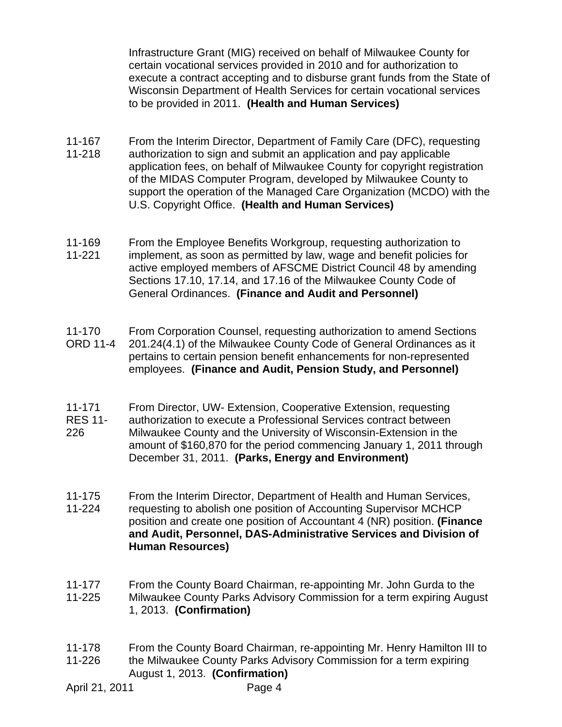Infrastructure Grant (MIG) received on behalf of Milwaukee County for certain vocational services provided in 2010 and for authorization to execute a contract accepting and to disburse grant funds from the State of Wisconsin Department of Health Services for certain vocational services to be provided in 2011. **(Health and Human Services)** 

- 11-167 11-218 From the Interim Director, Department of Family Care (DFC), requesting authorization to sign and submit an application and pay applicable application fees, on behalf of Milwaukee County for copyright registration of the MIDAS Computer Program, developed by Milwaukee County to support the operation of the Managed Care Organization (MCDO) with the U.S. Copyright Office. **(Health and Human Services)**
- 11-169 11-221 From the Employee Benefits Workgroup, requesting authorization to implement, as soon as permitted by law, wage and benefit policies for active employed members of AFSCME District Council 48 by amending Sections 17.10, 17.14, and 17.16 of the Milwaukee County Code of General Ordinances. **(Finance and Audit and Personnel)**
- 11-170 ORD 11-4 From Corporation Counsel, requesting authorization to amend Sections 201.24(4.1) of the Milwaukee County Code of General Ordinances as it pertains to certain pension benefit enhancements for non-represented employees. **(Finance and Audit, Pension Study, and Personnel)**
- 11-171 From Director, UW- Extension, Cooperative Extension, requesting
- RES 11- 226 authorization to execute a Professional Services contract between Milwaukee County and the University of Wisconsin-Extension in the amount of \$160,870 for the period commencing January 1, 2011 through December 31, 2011. **(Parks, Energy and Environment)**
- 11-175 11-224 From the Interim Director, Department of Health and Human Services, requesting to abolish one position of Accounting Supervisor MCHCP position and create one position of Accountant 4 (NR) position. **(Finance and Audit, Personnel, DAS-Administrative Services and Division of** 
	- **Human Resources)**
- 11-177 11-225 From the County Board Chairman, re-appointing Mr. John Gurda to the Milwaukee County Parks Advisory Commission for a term expiring August 1, 2013. **(Confirmation)**
- 11-178 11-226 From the County Board Chairman, re-appointing Mr. Henry Hamilton III to the Milwaukee County Parks Advisory Commission for a term expiring August 1, 2013. **(Confirmation)**